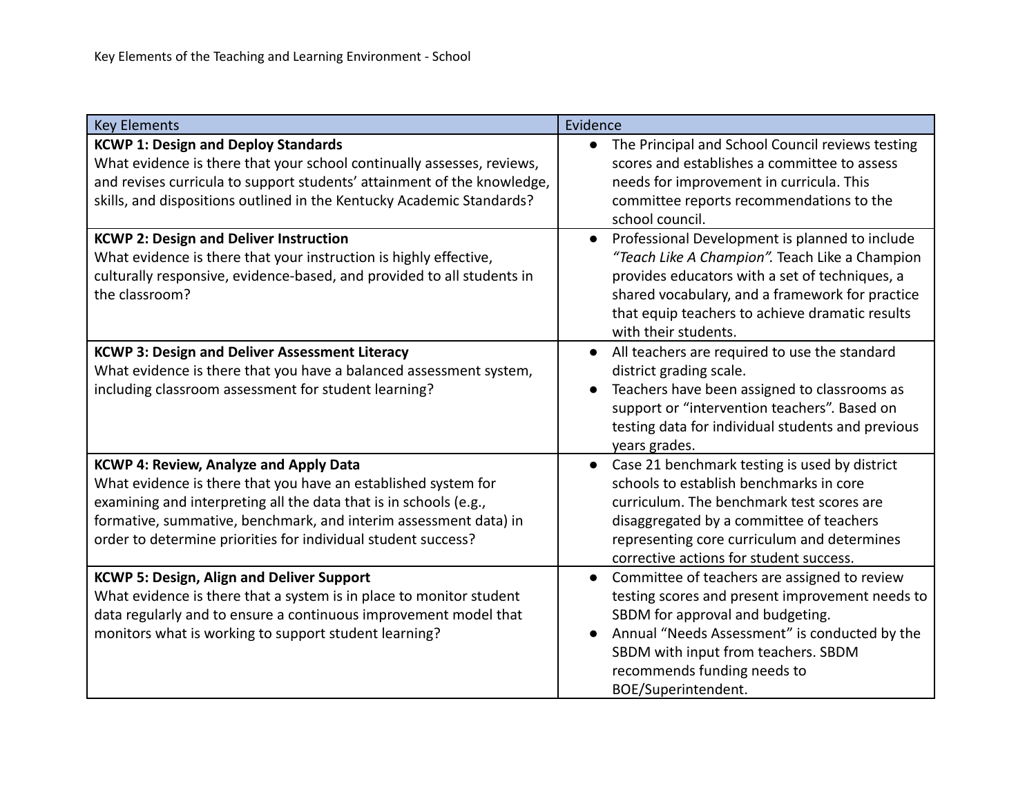| <b>Key Elements</b>                                                                                                                                                                                                                                                                                                       | Evidence                                                                                                                                                                                                                                                                                                    |
|---------------------------------------------------------------------------------------------------------------------------------------------------------------------------------------------------------------------------------------------------------------------------------------------------------------------------|-------------------------------------------------------------------------------------------------------------------------------------------------------------------------------------------------------------------------------------------------------------------------------------------------------------|
| <b>KCWP 1: Design and Deploy Standards</b><br>What evidence is there that your school continually assesses, reviews,<br>and revises curricula to support students' attainment of the knowledge,<br>skills, and dispositions outlined in the Kentucky Academic Standards?                                                  | The Principal and School Council reviews testing<br>$\bullet$<br>scores and establishes a committee to assess<br>needs for improvement in curricula. This<br>committee reports recommendations to the<br>school council.                                                                                    |
| <b>KCWP 2: Design and Deliver Instruction</b><br>What evidence is there that your instruction is highly effective,<br>culturally responsive, evidence-based, and provided to all students in<br>the classroom?                                                                                                            | Professional Development is planned to include<br>$\bullet$<br>"Teach Like A Champion". Teach Like a Champion<br>provides educators with a set of techniques, a<br>shared vocabulary, and a framework for practice<br>that equip teachers to achieve dramatic results<br>with their students.               |
| <b>KCWP 3: Design and Deliver Assessment Literacy</b><br>What evidence is there that you have a balanced assessment system,<br>including classroom assessment for student learning?                                                                                                                                       | All teachers are required to use the standard<br>$\bullet$<br>district grading scale.<br>Teachers have been assigned to classrooms as<br>$\bullet$<br>support or "intervention teachers". Based on<br>testing data for individual students and previous<br>years grades.                                    |
| <b>KCWP 4: Review, Analyze and Apply Data</b><br>What evidence is there that you have an established system for<br>examining and interpreting all the data that is in schools (e.g.,<br>formative, summative, benchmark, and interim assessment data) in<br>order to determine priorities for individual student success? | Case 21 benchmark testing is used by district<br>schools to establish benchmarks in core<br>curriculum. The benchmark test scores are<br>disaggregated by a committee of teachers<br>representing core curriculum and determines<br>corrective actions for student success.                                 |
| <b>KCWP 5: Design, Align and Deliver Support</b><br>What evidence is there that a system is in place to monitor student<br>data regularly and to ensure a continuous improvement model that<br>monitors what is working to support student learning?                                                                      | Committee of teachers are assigned to review<br>$\bullet$<br>testing scores and present improvement needs to<br>SBDM for approval and budgeting.<br>Annual "Needs Assessment" is conducted by the<br>$\bullet$<br>SBDM with input from teachers. SBDM<br>recommends funding needs to<br>BOE/Superintendent. |